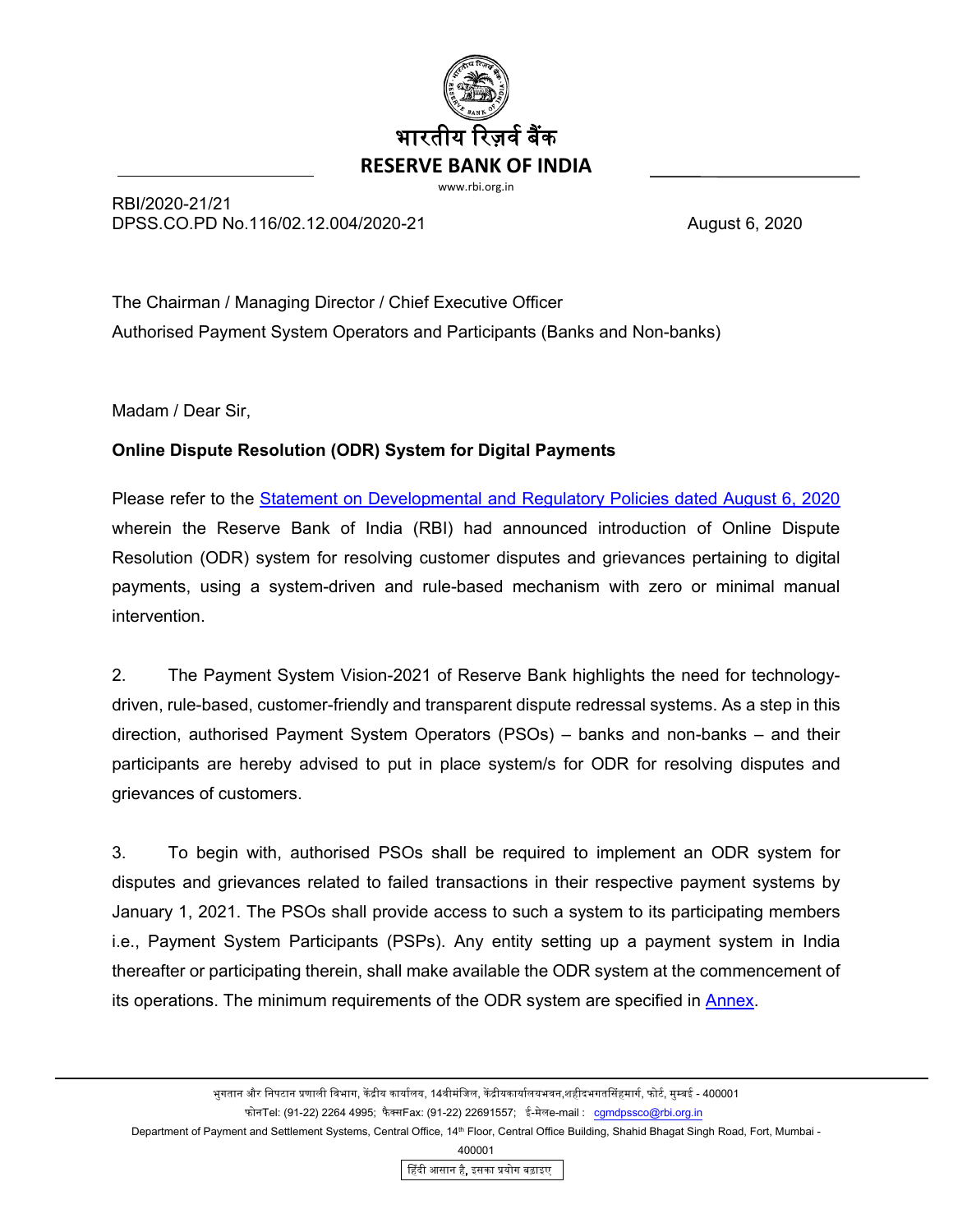

RBI/2020-21/21 DPSS.CO.PD No.116/02.12.004/2020-21 August 6, 2020

The Chairman / Managing Director / Chief Executive Officer Authorised Payment System Operators and Participants (Banks and Non-banks)

Madam / Dear Sir,

# **Online Dispute Resolution (ODR) System for Digital Payments**

Please refer to the [Statement on Developmental and Regulatory Policies dated August 6, 2020](https://www.rbi.org.in/Scripts/BS_PressReleaseDisplay.aspx?prid=50176) wherein the Reserve Bank of India (RBI) had announced introduction of Online Dispute Resolution (ODR) system for resolving customer disputes and grievances pertaining to digital payments, using a system-driven and rule-based mechanism with zero or minimal manual intervention.

2. The Payment System Vision-2021 of Reserve Bank highlights the need for technologydriven, rule-based, customer-friendly and transparent dispute redressal systems. As a step in this direction, authorised Payment System Operators (PSOs) – banks and non-banks – and their participants are hereby advised to put in place system/s for ODR for resolving disputes and grievances of customers.

3. To begin with, authorised PSOs shall be required to implement an ODR system for disputes and grievances related to failed transactions in their respective payment systems by January 1, 2021. The PSOs shall provide access to such a system to its participating members i.e., Payment System Participants (PSPs). Any entity setting up a payment system in India thereafter or participating therein, shall make available the ODR system at the commencement of its operations. The minimum requirements of the ODR system are specified in **Annex**.

Department of Payment and Settlement Systems, Central Office, 14<sup>th</sup> Floor, Central Office Building, Shahid Bhagat Singh Road, Fort, Mumbai -

400001

�हंदी आसान है, इसका �योग बढ़ाइए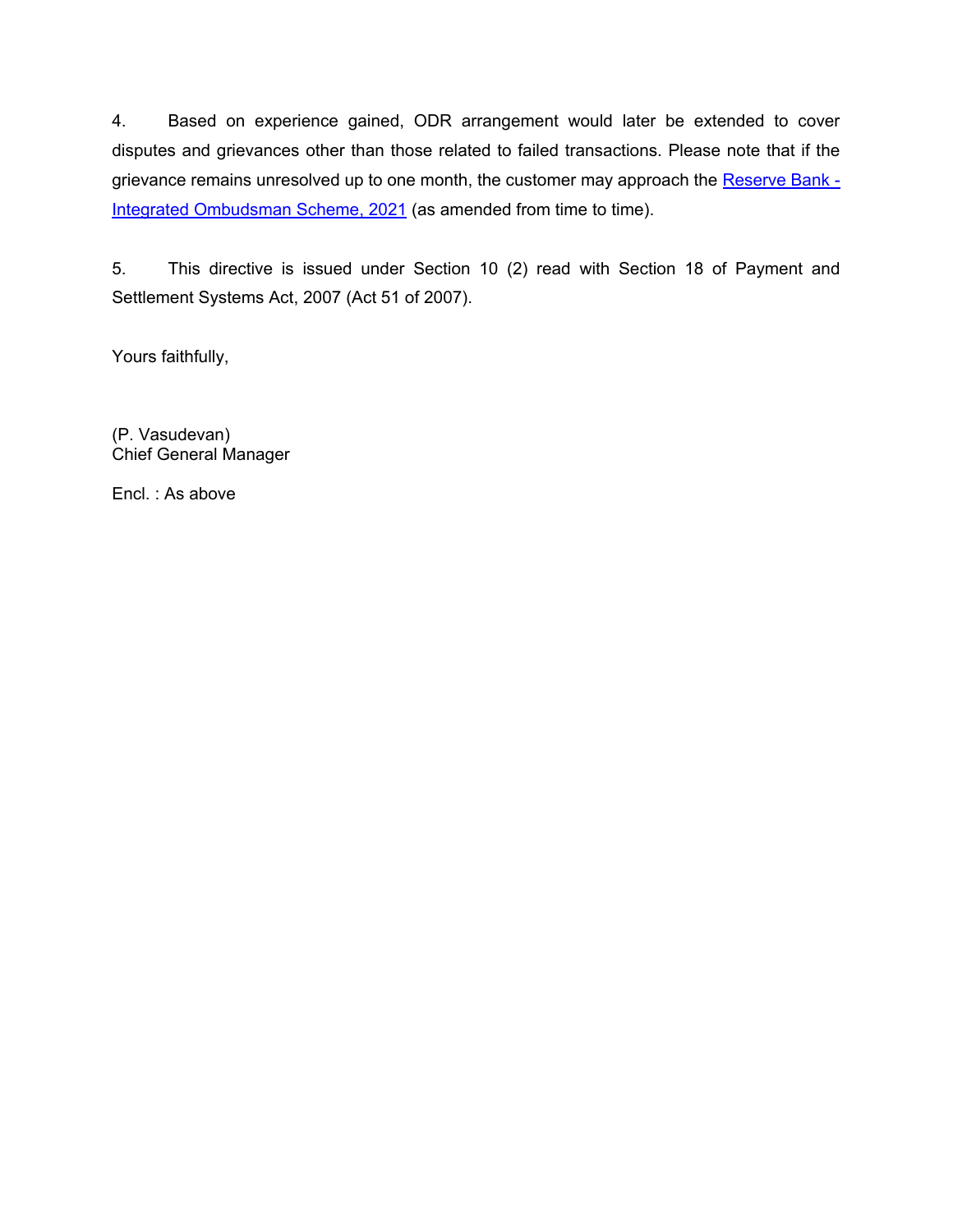4. Based on experience gained, ODR arrangement would later be extended to cover disputes and grievances other than those related to failed transactions. Please note that if the grievance remains unresolved up to one month, the customer may approach the [Reserve Bank -](https://www.rbi.org.in/Scripts/BS_PressReleaseDisplay.aspx?prid=52549) [Integrated Ombudsman Scheme, 2021](https://www.rbi.org.in/Scripts/BS_PressReleaseDisplay.aspx?prid=52549) (as amended from time to time).

5. This directive is issued under Section 10 (2) read with Section 18 of Payment and Settlement Systems Act, 2007 (Act 51 of 2007).

Yours faithfully,

(P. Vasudevan) Chief General Manager

Encl. : As above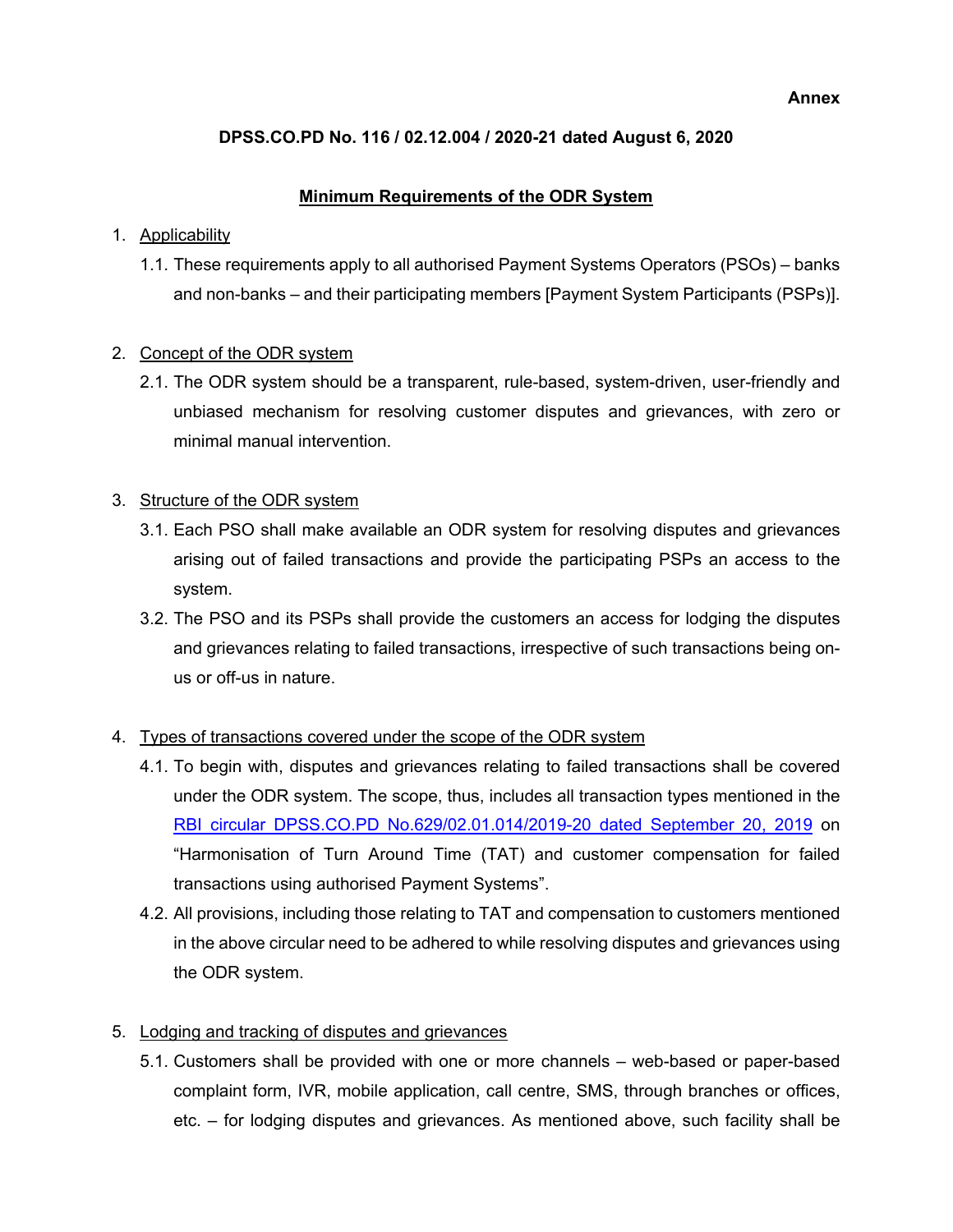#### **Annex**

## <span id="page-2-0"></span>**DPSS.CO.PD No. 116 / 02.12.004 / 2020-21 dated August 6, 2020**

### **Minimum Requirements of the ODR System**

#### 1. Applicability

1.1. These requirements apply to all authorised Payment Systems Operators (PSOs) – banks and non-banks – and their participating members [Payment System Participants (PSPs)].

### 2. Concept of the ODR system

2.1. The ODR system should be a transparent, rule-based, system-driven, user-friendly and unbiased mechanism for resolving customer disputes and grievances, with zero or minimal manual intervention.

## 3. Structure of the ODR system

- 3.1. Each PSO shall make available an ODR system for resolving disputes and grievances arising out of failed transactions and provide the participating PSPs an access to the system.
- 3.2. The PSO and its PSPs shall provide the customers an access for lodging the disputes and grievances relating to failed transactions, irrespective of such transactions being onus or off-us in nature.

# 4. Types of transactions covered under the scope of the ODR system

- 4.1. To begin with, disputes and grievances relating to failed transactions shall be covered under the ODR system. The scope, thus, includes all transaction types mentioned in the [RBI circular DPSS.CO.PD No.629/02.01.014/2019-20 dated September 20, 2019](https://www.rbi.org.in/Scripts/NotificationUser.aspx?Id=11693&Mode=0) on "Harmonisation of Turn Around Time (TAT) and customer compensation for failed transactions using authorised Payment Systems".
- 4.2. All provisions, including those relating to TAT and compensation to customers mentioned in the above circular need to be adhered to while resolving disputes and grievances using the ODR system.

# 5. Lodging and tracking of disputes and grievances

5.1. Customers shall be provided with one or more channels – web-based or paper-based complaint form, IVR, mobile application, call centre, SMS, through branches or offices, etc. – for lodging disputes and grievances. As mentioned above, such facility shall be